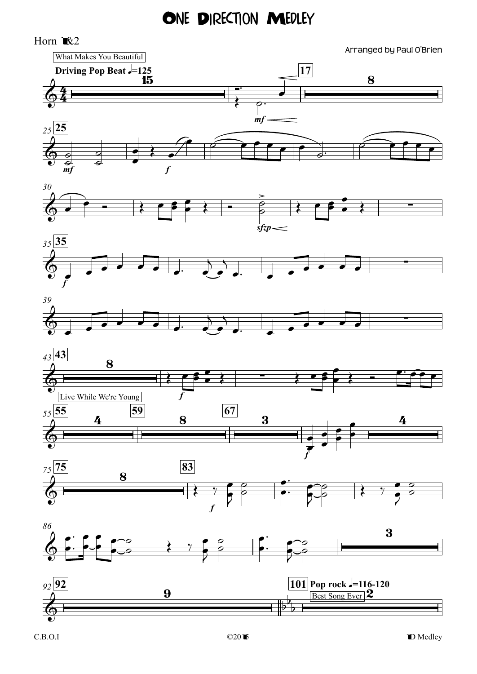## ONE DIRECTION MEDLEY